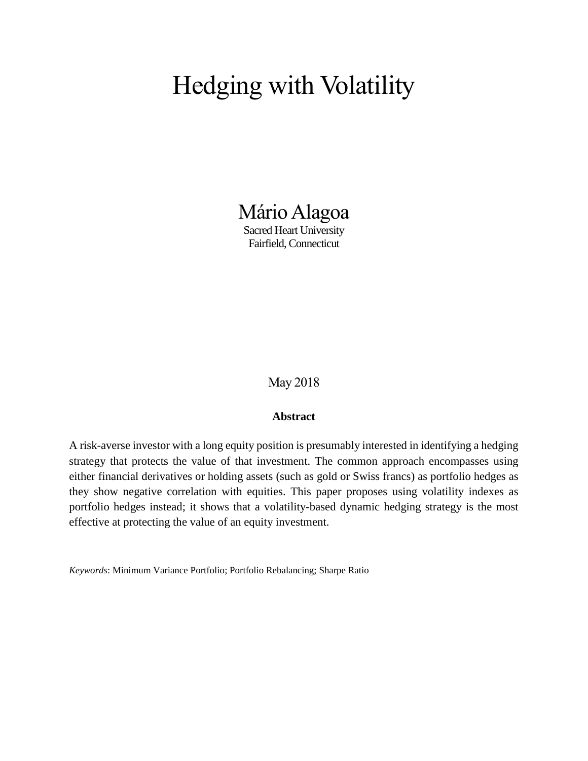# Hedging with Volatility

Mário Alagoa Sacred Heart University Fairfield, Connecticut

May 2018

#### **Abstract**

A risk-averse investor with a long equity position is presumably interested in identifying a hedging strategy that protects the value of that investment. The common approach encompasses using either financial derivatives or holding assets (such as gold or Swiss francs) as portfolio hedges as they show negative correlation with equities. This paper proposes using volatility indexes as portfolio hedges instead; it shows that a volatility-based dynamic hedging strategy is the most effective at protecting the value of an equity investment.

*Keywords*: Minimum Variance Portfolio; Portfolio Rebalancing; Sharpe Ratio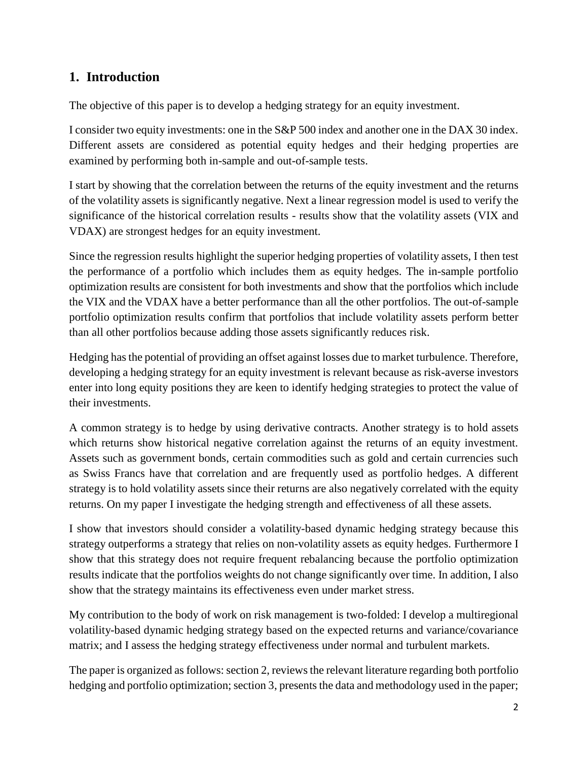## **1. Introduction**

The objective of this paper is to develop a hedging strategy for an equity investment.

I consider two equity investments: one in the S&P 500 index and another one in the DAX 30 index. Different assets are considered as potential equity hedges and their hedging properties are examined by performing both in-sample and out-of-sample tests.

I start by showing that the correlation between the returns of the equity investment and the returns of the volatility assets is significantly negative. Next a linear regression model is used to verify the significance of the historical correlation results - results show that the volatility assets (VIX and VDAX) are strongest hedges for an equity investment.

Since the regression results highlight the superior hedging properties of volatility assets, I then test the performance of a portfolio which includes them as equity hedges. The in-sample portfolio optimization results are consistent for both investments and show that the portfolios which include the VIX and the VDAX have a better performance than all the other portfolios. The out-of-sample portfolio optimization results confirm that portfolios that include volatility assets perform better than all other portfolios because adding those assets significantly reduces risk.

Hedging has the potential of providing an offset against losses due to market turbulence. Therefore, developing a hedging strategy for an equity investment is relevant because as risk-averse investors enter into long equity positions they are keen to identify hedging strategies to protect the value of their investments.

A common strategy is to hedge by using derivative contracts. Another strategy is to hold assets which returns show historical negative correlation against the returns of an equity investment. Assets such as government bonds, certain commodities such as gold and certain currencies such as Swiss Francs have that correlation and are frequently used as portfolio hedges. A different strategy is to hold volatility assets since their returns are also negatively correlated with the equity returns. On my paper I investigate the hedging strength and effectiveness of all these assets.

I show that investors should consider a volatility-based dynamic hedging strategy because this strategy outperforms a strategy that relies on non-volatility assets as equity hedges. Furthermore I show that this strategy does not require frequent rebalancing because the portfolio optimization results indicate that the portfolios weights do not change significantly over time. In addition, I also show that the strategy maintains its effectiveness even under market stress.

My contribution to the body of work on risk management is two-folded: I develop a multiregional volatility-based dynamic hedging strategy based on the expected returns and variance/covariance matrix; and I assess the hedging strategy effectiveness under normal and turbulent markets.

The paper is organized as follows: section 2, reviews the relevant literature regarding both portfolio hedging and portfolio optimization; section 3, presents the data and methodology used in the paper;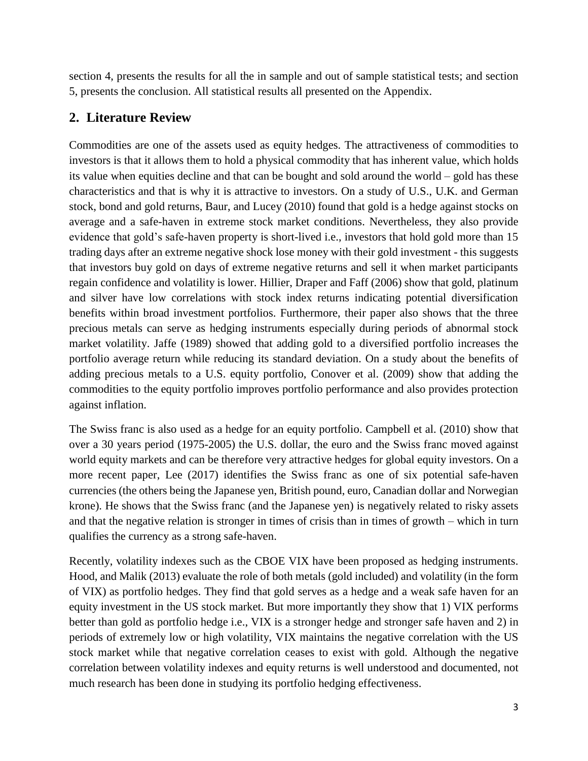section 4, presents the results for all the in sample and out of sample statistical tests; and section 5, presents the conclusion. All statistical results all presented on the Appendix.

## **2. Literature Review**

Commodities are one of the assets used as equity hedges. The attractiveness of commodities to investors is that it allows them to hold a physical commodity that has inherent value, which holds its value when equities decline and that can be bought and sold around the world – gold has these characteristics and that is why it is attractive to investors. On a study of U.S., U.K. and German stock, bond and gold returns, [Baur, and Lucey \(2010\)](#page-18-0) found that gold is a hedge against stocks on average and a safe-haven in extreme stock market conditions. Nevertheless, they also provide evidence that gold's safe-haven property is short-lived i.e., investors that hold gold more than 15 trading days after an extreme negative shock lose money with their gold investment - this suggests that investors buy gold on days of extreme negative returns and sell it when market participants regain confidence and volatility is lower. Hillier, [Draper and Faff \(2006\)](#page-18-0) show that gold, platinum and silver have low correlations with stock index returns indicating potential diversification benefits within broad investment portfolios. Furthermore, their paper also shows that the three precious metals can serve as hedging instruments especially during periods of abnormal stock market volatility. [Jaffe \(1989\)](#page-18-0) showed that adding gold to a diversified portfolio increases the portfolio average return while reducing its standard deviation. On a study about the benefits of adding precious metals to a U.S. equity portfolio, [Conover et al. \(2009\)](#page-18-0) show that adding the commodities to the equity portfolio improves portfolio performance and also provides protection against inflation.

The Swiss franc is also used as a hedge for an equity portfolio. [Campbell et al. \(2010\)](#page-18-0) show that over a 30 years period (1975-2005) the U.S. dollar, the euro and the Swiss franc moved against world equity markets and can be therefore very attractive hedges for global equity investors. On a more recent paper, [Lee \(2017\)](#page-18-0) identifies the Swiss franc as one of six potential safe-haven currencies (the others being the Japanese yen, British pound, euro, Canadian dollar and Norwegian krone). He shows that the Swiss franc (and the Japanese yen) is negatively related to risky assets and that the negative relation is stronger in times of crisis than in times of growth – which in turn qualifies the currency as a strong safe-haven.

Recently, volatility indexes such as the CBOE VIX have been proposed as hedging instruments. [Hood, and Malik \(2013\)](#page-18-0) evaluate the role of both metals (gold included) and volatility (in the form of VIX) as portfolio hedges. They find that gold serves as a hedge and a weak safe haven for an equity investment in the US stock market. But more importantly they show that 1) VIX performs better than gold as portfolio hedge i.e., VIX is a stronger hedge and stronger safe haven and 2) in periods of extremely low or high volatility, VIX maintains the negative correlation with the US stock market while that negative correlation ceases to exist with gold. Although the negative correlation between volatility indexes and equity returns is well understood and documented, not much research has been done in studying its portfolio hedging effectiveness.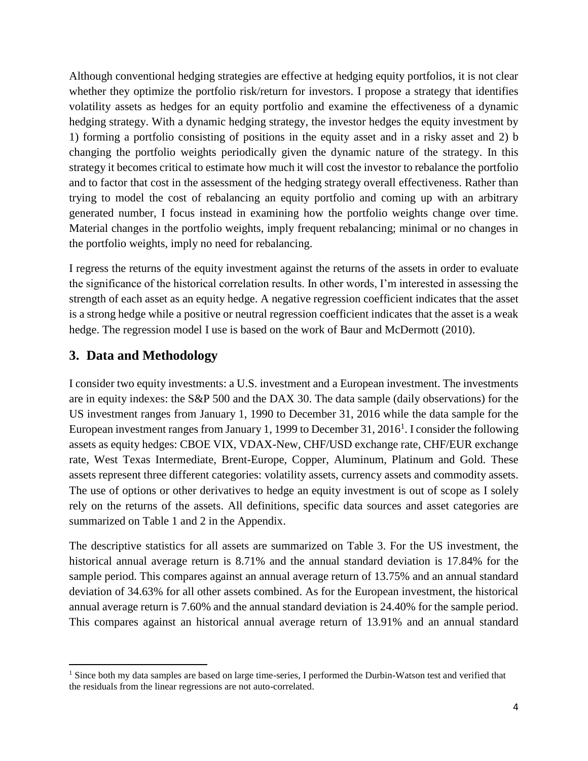Although conventional hedging strategies are effective at hedging equity portfolios, it is not clear whether they optimize the portfolio risk/return for investors. I propose a strategy that identifies volatility assets as hedges for an equity portfolio and examine the effectiveness of a dynamic hedging strategy. With a dynamic hedging strategy, the investor hedges the equity investment by 1) forming a portfolio consisting of positions in the equity asset and in a risky asset and 2) b changing the portfolio weights periodically given the dynamic nature of the strategy. In this strategy it becomes critical to estimate how much it will cost the investor to rebalance the portfolio and to factor that cost in the assessment of the hedging strategy overall effectiveness. Rather than trying to model the cost of rebalancing an equity portfolio and coming up with an arbitrary generated number, I focus instead in examining how the portfolio weights change over time. Material changes in the portfolio weights, imply frequent rebalancing; minimal or no changes in the portfolio weights, imply no need for rebalancing.

I regress the returns of the equity investment against the returns of the assets in order to evaluate the significance of the historical correlation results. In other words, I'm interested in assessing the strength of each asset as an equity hedge. A negative regression coefficient indicates that the asset is a strong hedge while a positive or neutral regression coefficient indicates that the asset is a weak hedge. The regression model I use is based on the work of [Baur and McDermott \(2010\).](#page-18-0)

## **3. Data and Methodology**

 $\overline{a}$ 

I consider two equity investments: a U.S. investment and a European investment. The investments are in equity indexes: the S&P 500 and the DAX 30. The data sample (daily observations) for the US investment ranges from January 1, 1990 to December 31, 2016 while the data sample for the European investment ranges from January 1, 1999 to December 31, 2016<sup>1</sup>. I consider the following assets as equity hedges: CBOE VIX, VDAX-New, CHF/USD exchange rate, CHF/EUR exchange rate, West Texas Intermediate, Brent-Europe, Copper, Aluminum, Platinum and Gold. These assets represent three different categories: volatility assets, currency assets and commodity assets. The use of options or other derivatives to hedge an equity investment is out of scope as I solely rely on the returns of the assets. All definitions, specific data sources and asset categories are summarized on Table 1 and 2 in the Appendix.

The descriptive statistics for all assets are summarized on Table 3. For the US investment, the historical annual average return is 8.71% and the annual standard deviation is 17.84% for the sample period. This compares against an annual average return of 13.75% and an annual standard deviation of 34.63% for all other assets combined. As for the European investment, the historical annual average return is 7.60% and the annual standard deviation is 24.40% for the sample period. This compares against an historical annual average return of 13.91% and an annual standard

<sup>&</sup>lt;sup>1</sup> Since both my data samples are based on large time-series, I performed the Durbin-Watson test and verified that the residuals from the linear regressions are not auto-correlated.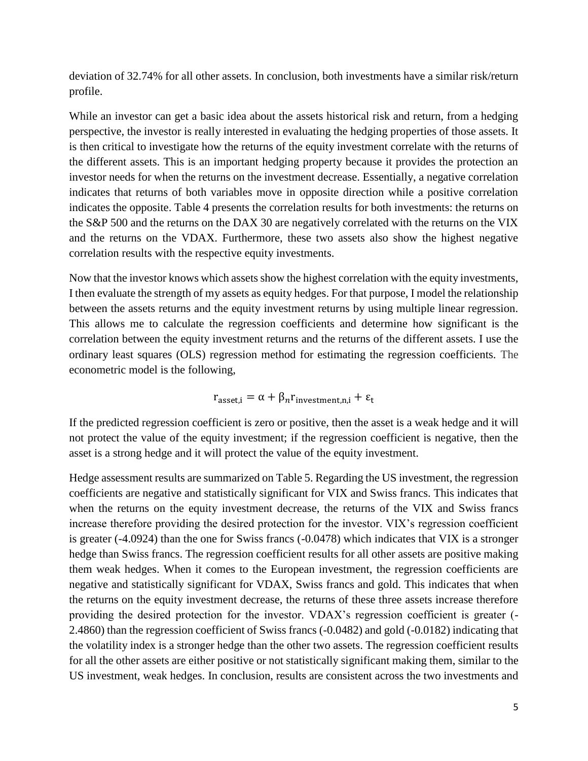deviation of 32.74% for all other assets. In conclusion, both investments have a similar risk/return profile.

While an investor can get a basic idea about the assets historical risk and return, from a hedging perspective, the investor is really interested in evaluating the hedging properties of those assets. It is then critical to investigate how the returns of the equity investment correlate with the returns of the different assets. This is an important hedging property because it provides the protection an investor needs for when the returns on the investment decrease. Essentially, a negative correlation indicates that returns of both variables move in opposite direction while a positive correlation indicates the opposite. Table 4 presents the correlation results for both investments: the returns on the S&P 500 and the returns on the DAX 30 are negatively correlated with the returns on the VIX and the returns on the VDAX. Furthermore, these two assets also show the highest negative correlation results with the respective equity investments.

Now that the investor knows which assets show the highest correlation with the equity investments, I then evaluate the strength of my assets as equity hedges. For that purpose, I model the relationship between the assets returns and the equity investment returns by using multiple linear regression. This allows me to calculate the regression coefficients and determine how significant is the correlation between the equity investment returns and the returns of the different assets. I use the ordinary least squares (OLS) regression method for estimating the regression coefficients. The econometric model is the following,

$$
r_{asset,i} = \alpha + \beta_n r_{investment,n,i} + \varepsilon_t
$$

If the predicted regression coefficient is zero or positive, then the asset is a weak hedge and it will not protect the value of the equity investment; if the regression coefficient is negative, then the asset is a strong hedge and it will protect the value of the equity investment.

Hedge assessment results are summarized on Table 5. Regarding the US investment, the regression coefficients are negative and statistically significant for VIX and Swiss francs. This indicates that when the returns on the equity investment decrease, the returns of the VIX and Swiss francs increase therefore providing the desired protection for the investor. VIX's regression coefficient is greater (-4.0924) than the one for Swiss francs (-0.0478) which indicates that VIX is a stronger hedge than Swiss francs. The regression coefficient results for all other assets are positive making them weak hedges. When it comes to the European investment, the regression coefficients are negative and statistically significant for VDAX, Swiss francs and gold. This indicates that when the returns on the equity investment decrease, the returns of these three assets increase therefore providing the desired protection for the investor. VDAX's regression coefficient is greater (- 2.4860) than the regression coefficient of Swiss francs (-0.0482) and gold (-0.0182) indicating that the volatility index is a stronger hedge than the other two assets. The regression coefficient results for all the other assets are either positive or not statistically significant making them, similar to the US investment, weak hedges. In conclusion, results are consistent across the two investments and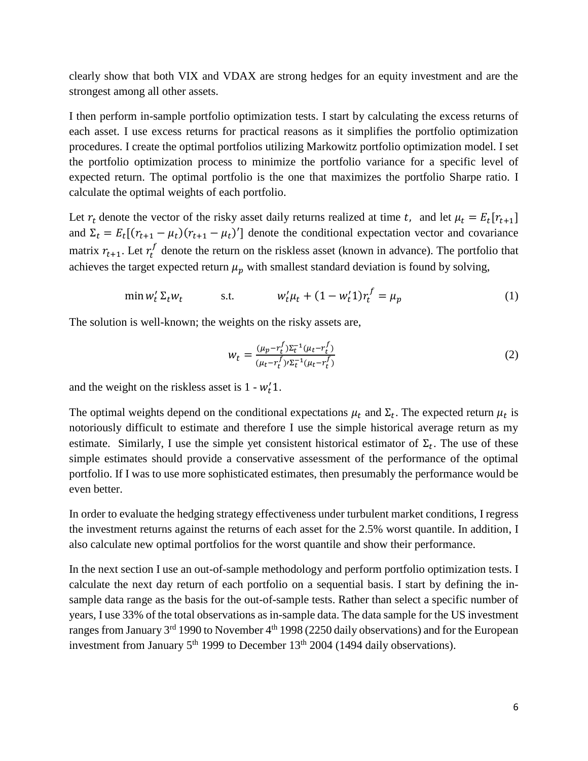clearly show that both VIX and VDAX are strong hedges for an equity investment and are the strongest among all other assets.

I then perform in-sample portfolio optimization tests. I start by calculating the excess returns of each asset. I use excess returns for practical reasons as it simplifies the portfolio optimization procedures. I create the optimal portfolios utilizing Markowitz portfolio optimization model. I set the portfolio optimization process to minimize the portfolio variance for a specific level of expected return. The optimal portfolio is the one that maximizes the portfolio Sharpe ratio. I calculate the optimal weights of each portfolio.

Let  $r_t$  denote the vector of the risky asset daily returns realized at time t, and let  $\mu_t = E_t[r_{t+1}]$ and  $\Sigma_t = E_t[(r_{t+1} - \mu_t)(r_{t+1} - \mu_t)']$  denote the conditional expectation vector and covariance matrix  $r_{t+1}$ . Let  $r_t^f$  denote the return on the riskless asset (known in advance). The portfolio that achieves the target expected return  $\mu_p$  with smallest standard deviation is found by solving,

$$
\min w_t' \, \Sigma_t w_t \qquad \text{s.t.} \qquad w_t' \mu_t + (1 - w_t' 1) r_t^f = \mu_p \tag{1}
$$

The solution is well-known; the weights on the risky assets are,

$$
w_t = \frac{(\mu_p - r_t^f) \Sigma_t^{-1} (\mu_t - r_t^f)}{(\mu_t - r_t^f) \Sigma_t^{-1} (\mu_t - r_t^f)}
$$
(2)

and the weight on the riskless asset is  $1 - w_t' 1$ .

The optimal weights depend on the conditional expectations  $\mu_t$  and  $\Sigma_t$ . The expected return  $\mu_t$  is notoriously difficult to estimate and therefore I use the simple historical average return as my estimate. Similarly, I use the simple yet consistent historical estimator of  $\Sigma_t$ . The use of these simple estimates should provide a conservative assessment of the performance of the optimal portfolio. If I was to use more sophisticated estimates, then presumably the performance would be even better.

In order to evaluate the hedging strategy effectiveness under turbulent market conditions, I regress the investment returns against the returns of each asset for the 2.5% worst quantile. In addition, I also calculate new optimal portfolios for the worst quantile and show their performance.

In the next section I use an out-of-sample methodology and perform portfolio optimization tests. I calculate the next day return of each portfolio on a sequential basis. I start by defining the insample data range as the basis for the out-of-sample tests. Rather than select a specific number of years, I use 33% of the total observations as in-sample data. The data sample for the US investment ranges from January  $3<sup>rd</sup>$  1990 to November  $4<sup>th</sup>$  1998 (2250 daily observations) and for the European investment from January  $5<sup>th</sup>$  1999 to December 13<sup>th</sup> 2004 (1494 daily observations).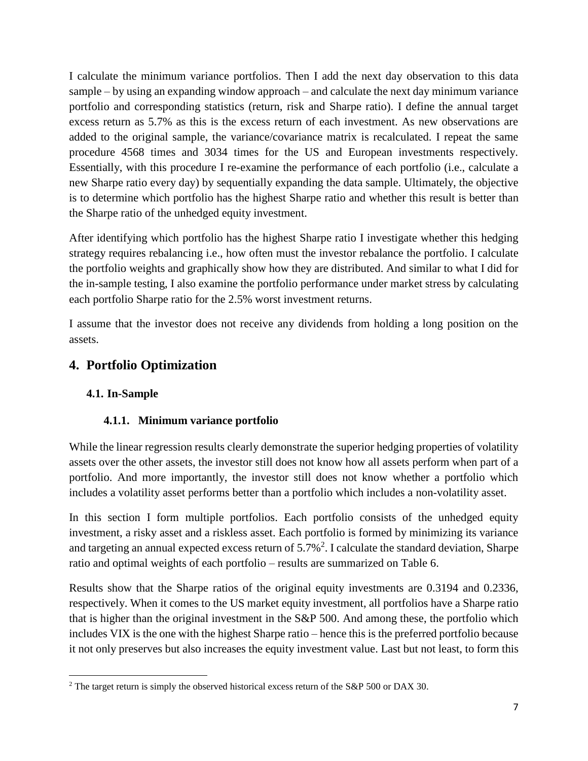I calculate the minimum variance portfolios. Then I add the next day observation to this data sample – by using an expanding window approach – and calculate the next day minimum variance portfolio and corresponding statistics (return, risk and Sharpe ratio). I define the annual target excess return as 5.7% as this is the excess return of each investment. As new observations are added to the original sample, the variance/covariance matrix is recalculated. I repeat the same procedure 4568 times and 3034 times for the US and European investments respectively. Essentially, with this procedure I re-examine the performance of each portfolio (i.e., calculate a new Sharpe ratio every day) by sequentially expanding the data sample. Ultimately, the objective is to determine which portfolio has the highest Sharpe ratio and whether this result is better than the Sharpe ratio of the unhedged equity investment.

After identifying which portfolio has the highest Sharpe ratio I investigate whether this hedging strategy requires rebalancing i.e., how often must the investor rebalance the portfolio. I calculate the portfolio weights and graphically show how they are distributed. And similar to what I did for the in-sample testing, I also examine the portfolio performance under market stress by calculating each portfolio Sharpe ratio for the 2.5% worst investment returns.

I assume that the investor does not receive any dividends from holding a long position on the assets.

## **4. Portfolio Optimization**

## **4.1. In-Sample**

#### **4.1.1. Minimum variance portfolio**

While the linear regression results clearly demonstrate the superior hedging properties of volatility assets over the other assets, the investor still does not know how all assets perform when part of a portfolio. And more importantly, the investor still does not know whether a portfolio which includes a volatility asset performs better than a portfolio which includes a non-volatility asset.

In this section I form multiple portfolios. Each portfolio consists of the unhedged equity investment, a risky asset and a riskless asset. Each portfolio is formed by minimizing its variance and targeting an annual expected excess return of  $5.7\%$ <sup>2</sup>. I calculate the standard deviation, Sharpe ratio and optimal weights of each portfolio – results are summarized on Table 6.

Results show that the Sharpe ratios of the original equity investments are 0.3194 and 0.2336, respectively. When it comes to the US market equity investment, all portfolios have a Sharpe ratio that is higher than the original investment in the S&P 500. And among these, the portfolio which includes VIX is the one with the highest Sharpe ratio – hence this is the preferred portfolio because it not only preserves but also increases the equity investment value. Last but not least, to form this

 $\overline{\phantom{a}}$ <sup>2</sup> The target return is simply the observed historical excess return of the S&P 500 or DAX 30.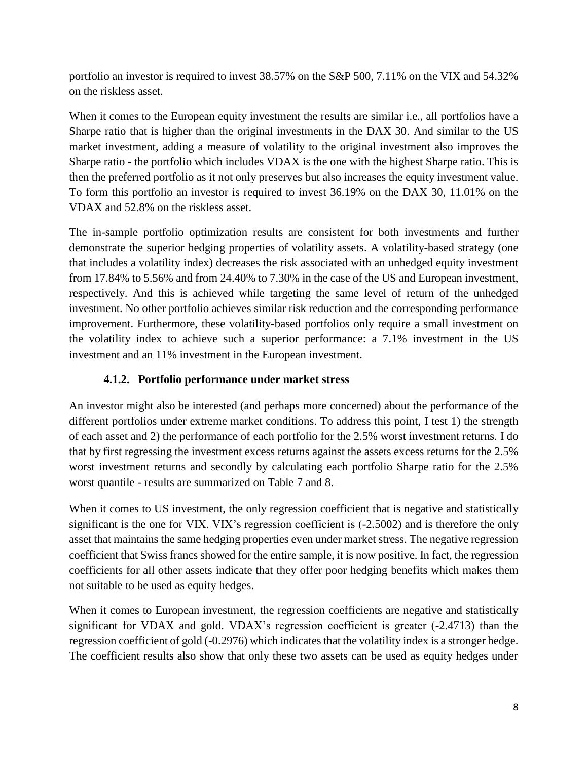portfolio an investor is required to invest 38.57% on the S&P 500, 7.11% on the VIX and 54.32% on the riskless asset.

When it comes to the European equity investment the results are similar i.e., all portfolios have a Sharpe ratio that is higher than the original investments in the DAX 30. And similar to the US market investment, adding a measure of volatility to the original investment also improves the Sharpe ratio - the portfolio which includes VDAX is the one with the highest Sharpe ratio. This is then the preferred portfolio as it not only preserves but also increases the equity investment value. To form this portfolio an investor is required to invest 36.19% on the DAX 30, 11.01% on the VDAX and 52.8% on the riskless asset.

The in-sample portfolio optimization results are consistent for both investments and further demonstrate the superior hedging properties of volatility assets. A volatility-based strategy (one that includes a volatility index) decreases the risk associated with an unhedged equity investment from 17.84% to 5.56% and from 24.40% to 7.30% in the case of the US and European investment, respectively. And this is achieved while targeting the same level of return of the unhedged investment. No other portfolio achieves similar risk reduction and the corresponding performance improvement. Furthermore, these volatility-based portfolios only require a small investment on the volatility index to achieve such a superior performance: a 7.1% investment in the US investment and an 11% investment in the European investment.

## **4.1.2. Portfolio performance under market stress**

An investor might also be interested (and perhaps more concerned) about the performance of the different portfolios under extreme market conditions. To address this point, I test 1) the strength of each asset and 2) the performance of each portfolio for the 2.5% worst investment returns. I do that by first regressing the investment excess returns against the assets excess returns for the 2.5% worst investment returns and secondly by calculating each portfolio Sharpe ratio for the 2.5% worst quantile - results are summarized on Table 7 and 8.

When it comes to US investment, the only regression coefficient that is negative and statistically significant is the one for VIX. VIX's regression coefficient is (-2.5002) and is therefore the only asset that maintains the same hedging properties even under market stress. The negative regression coefficient that Swiss francs showed for the entire sample, it is now positive. In fact, the regression coefficients for all other assets indicate that they offer poor hedging benefits which makes them not suitable to be used as equity hedges.

When it comes to European investment, the regression coefficients are negative and statistically significant for VDAX and gold. VDAX's regression coefficient is greater (-2.4713) than the regression coefficient of gold (-0.2976) which indicates that the volatility index is a stronger hedge. The coefficient results also show that only these two assets can be used as equity hedges under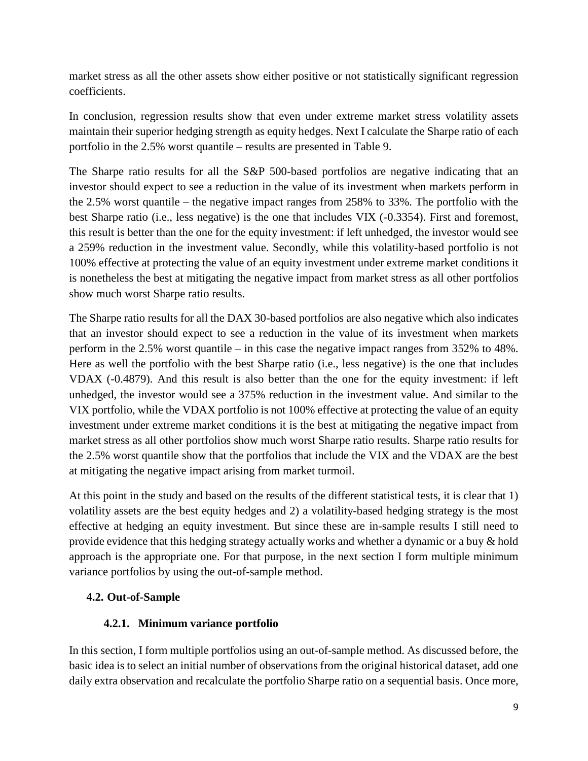market stress as all the other assets show either positive or not statistically significant regression coefficients.

In conclusion, regression results show that even under extreme market stress volatility assets maintain their superior hedging strength as equity hedges. Next I calculate the Sharpe ratio of each portfolio in the 2.5% worst quantile – results are presented in Table 9.

The Sharpe ratio results for all the S&P 500-based portfolios are negative indicating that an investor should expect to see a reduction in the value of its investment when markets perform in the 2.5% worst quantile – the negative impact ranges from 258% to 33%. The portfolio with the best Sharpe ratio (i.e., less negative) is the one that includes VIX (-0.3354). First and foremost, this result is better than the one for the equity investment: if left unhedged, the investor would see a 259% reduction in the investment value. Secondly, while this volatility-based portfolio is not 100% effective at protecting the value of an equity investment under extreme market conditions it is nonetheless the best at mitigating the negative impact from market stress as all other portfolios show much worst Sharpe ratio results.

The Sharpe ratio results for all the DAX 30-based portfolios are also negative which also indicates that an investor should expect to see a reduction in the value of its investment when markets perform in the 2.5% worst quantile – in this case the negative impact ranges from 352% to 48%. Here as well the portfolio with the best Sharpe ratio (i.e., less negative) is the one that includes VDAX (-0.4879). And this result is also better than the one for the equity investment: if left unhedged, the investor would see a 375% reduction in the investment value. And similar to the VIX portfolio, while the VDAX portfolio is not 100% effective at protecting the value of an equity investment under extreme market conditions it is the best at mitigating the negative impact from market stress as all other portfolios show much worst Sharpe ratio results. Sharpe ratio results for the 2.5% worst quantile show that the portfolios that include the VIX and the VDAX are the best at mitigating the negative impact arising from market turmoil.

At this point in the study and based on the results of the different statistical tests, it is clear that 1) volatility assets are the best equity hedges and 2) a volatility-based hedging strategy is the most effective at hedging an equity investment. But since these are in-sample results I still need to provide evidence that this hedging strategy actually works and whether a dynamic or a buy & hold approach is the appropriate one. For that purpose, in the next section I form multiple minimum variance portfolios by using the out-of-sample method.

## **4.2. Out-of-Sample**

## **4.2.1. Minimum variance portfolio**

In this section, I form multiple portfolios using an out-of-sample method. As discussed before, the basic idea is to select an initial number of observations from the original historical dataset, add one daily extra observation and recalculate the portfolio Sharpe ratio on a sequential basis. Once more,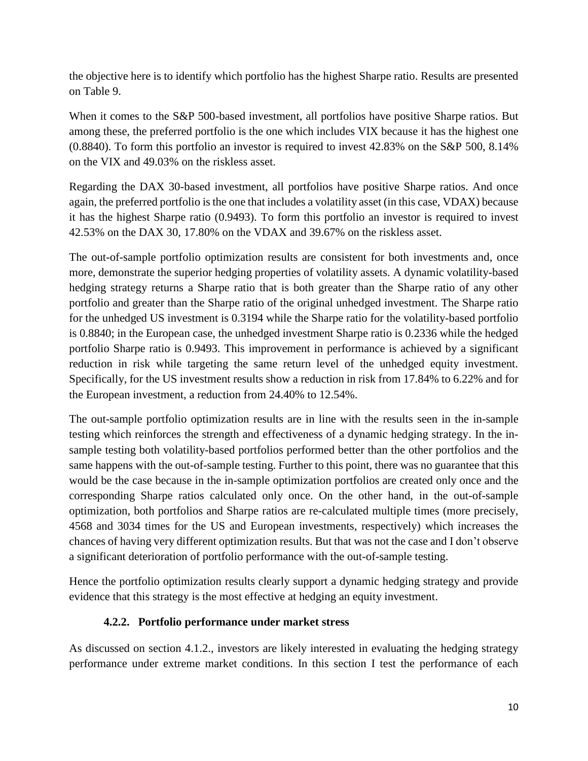the objective here is to identify which portfolio has the highest Sharpe ratio. Results are presented on Table 9.

When it comes to the S&P 500-based investment, all portfolios have positive Sharpe ratios. But among these, the preferred portfolio is the one which includes VIX because it has the highest one (0.8840). To form this portfolio an investor is required to invest 42.83% on the S&P 500, 8.14% on the VIX and 49.03% on the riskless asset.

Regarding the DAX 30-based investment, all portfolios have positive Sharpe ratios. And once again, the preferred portfolio is the one that includes a volatility asset (in this case, VDAX) because it has the highest Sharpe ratio (0.9493). To form this portfolio an investor is required to invest 42.53% on the DAX 30, 17.80% on the VDAX and 39.67% on the riskless asset.

The out-of-sample portfolio optimization results are consistent for both investments and, once more, demonstrate the superior hedging properties of volatility assets. A dynamic volatility-based hedging strategy returns a Sharpe ratio that is both greater than the Sharpe ratio of any other portfolio and greater than the Sharpe ratio of the original unhedged investment. The Sharpe ratio for the unhedged US investment is 0.3194 while the Sharpe ratio for the volatility-based portfolio is 0.8840; in the European case, the unhedged investment Sharpe ratio is 0.2336 while the hedged portfolio Sharpe ratio is 0.9493. This improvement in performance is achieved by a significant reduction in risk while targeting the same return level of the unhedged equity investment. Specifically, for the US investment results show a reduction in risk from 17.84% to 6.22% and for the European investment, a reduction from 24.40% to 12.54%.

The out-sample portfolio optimization results are in line with the results seen in the in-sample testing which reinforces the strength and effectiveness of a dynamic hedging strategy. In the insample testing both volatility-based portfolios performed better than the other portfolios and the same happens with the out-of-sample testing. Further to this point, there was no guarantee that this would be the case because in the in-sample optimization portfolios are created only once and the corresponding Sharpe ratios calculated only once. On the other hand, in the out-of-sample optimization, both portfolios and Sharpe ratios are re-calculated multiple times (more precisely, 4568 and 3034 times for the US and European investments, respectively) which increases the chances of having very different optimization results. But that was not the case and I don't observe a significant deterioration of portfolio performance with the out-of-sample testing.

Hence the portfolio optimization results clearly support a dynamic hedging strategy and provide evidence that this strategy is the most effective at hedging an equity investment.

#### **4.2.2. Portfolio performance under market stress**

As discussed on section 4.1.2., investors are likely interested in evaluating the hedging strategy performance under extreme market conditions. In this section I test the performance of each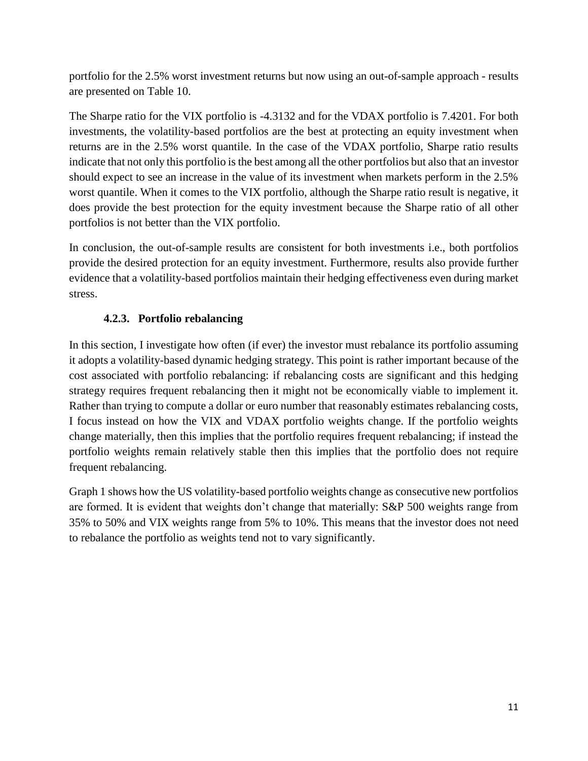portfolio for the 2.5% worst investment returns but now using an out-of-sample approach - results are presented on Table 10.

The Sharpe ratio for the VIX portfolio is -4.3132 and for the VDAX portfolio is 7.4201. For both investments, the volatility-based portfolios are the best at protecting an equity investment when returns are in the 2.5% worst quantile. In the case of the VDAX portfolio, Sharpe ratio results indicate that not only this portfolio is the best among all the other portfolios but also that an investor should expect to see an increase in the value of its investment when markets perform in the 2.5% worst quantile. When it comes to the VIX portfolio, although the Sharpe ratio result is negative, it does provide the best protection for the equity investment because the Sharpe ratio of all other portfolios is not better than the VIX portfolio.

In conclusion, the out-of-sample results are consistent for both investments i.e., both portfolios provide the desired protection for an equity investment. Furthermore, results also provide further evidence that a volatility-based portfolios maintain their hedging effectiveness even during market stress.

## **4.2.3. Portfolio rebalancing**

In this section, I investigate how often (if ever) the investor must rebalance its portfolio assuming it adopts a volatility-based dynamic hedging strategy. This point is rather important because of the cost associated with portfolio rebalancing: if rebalancing costs are significant and this hedging strategy requires frequent rebalancing then it might not be economically viable to implement it. Rather than trying to compute a dollar or euro number that reasonably estimates rebalancing costs, I focus instead on how the VIX and VDAX portfolio weights change. If the portfolio weights change materially, then this implies that the portfolio requires frequent rebalancing; if instead the portfolio weights remain relatively stable then this implies that the portfolio does not require frequent rebalancing.

Graph 1 shows how the US volatility-based portfolio weights change as consecutive new portfolios are formed. It is evident that weights don't change that materially: S&P 500 weights range from 35% to 50% and VIX weights range from 5% to 10%. This means that the investor does not need to rebalance the portfolio as weights tend not to vary significantly.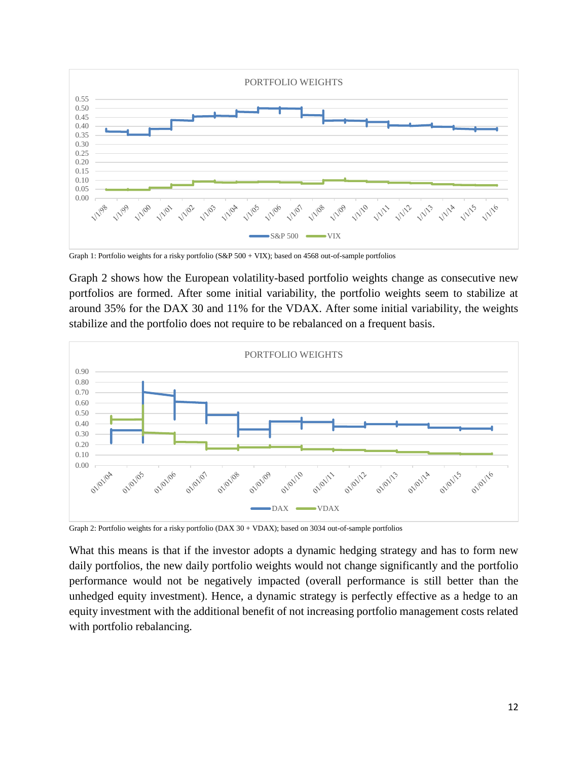

Graph 1: Portfolio weights for a risky portfolio  $(S\&P 500 + VIX)$ ; based on 4568 out-of-sample portfolios

Graph 2 shows how the European volatility-based portfolio weights change as consecutive new portfolios are formed. After some initial variability, the portfolio weights seem to stabilize at around 35% for the DAX 30 and 11% for the VDAX. After some initial variability, the weights stabilize and the portfolio does not require to be rebalanced on a frequent basis.



Graph 2: Portfolio weights for a risky portfolio (DAX 30 + VDAX); based on 3034 out-of-sample portfolios

What this means is that if the investor adopts a dynamic hedging strategy and has to form new daily portfolios, the new daily portfolio weights would not change significantly and the portfolio performance would not be negatively impacted (overall performance is still better than the unhedged equity investment). Hence, a dynamic strategy is perfectly effective as a hedge to an equity investment with the additional benefit of not increasing portfolio management costs related with portfolio rebalancing.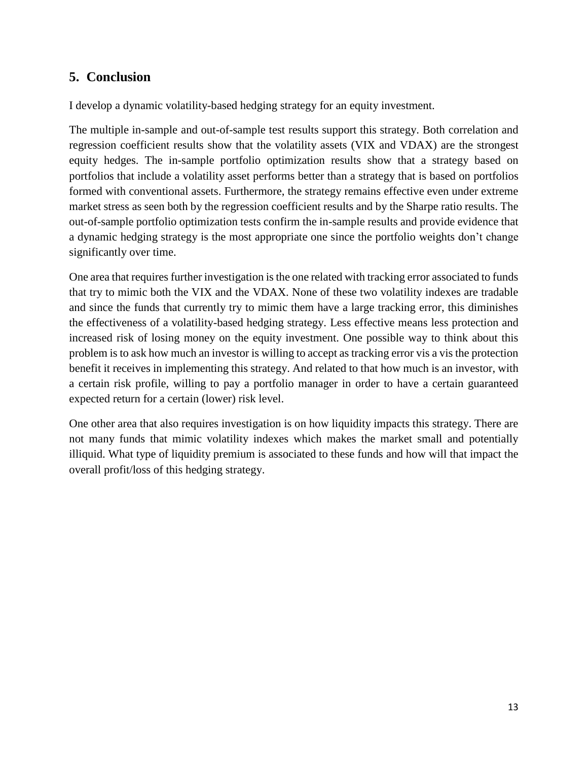## **5. Conclusion**

I develop a dynamic volatility-based hedging strategy for an equity investment.

The multiple in-sample and out-of-sample test results support this strategy. Both correlation and regression coefficient results show that the volatility assets (VIX and VDAX) are the strongest equity hedges. The in-sample portfolio optimization results show that a strategy based on portfolios that include a volatility asset performs better than a strategy that is based on portfolios formed with conventional assets. Furthermore, the strategy remains effective even under extreme market stress as seen both by the regression coefficient results and by the Sharpe ratio results. The out-of-sample portfolio optimization tests confirm the in-sample results and provide evidence that a dynamic hedging strategy is the most appropriate one since the portfolio weights don't change significantly over time.

One area that requires further investigation is the one related with tracking error associated to funds that try to mimic both the VIX and the VDAX. None of these two volatility indexes are tradable and since the funds that currently try to mimic them have a large tracking error, this diminishes the effectiveness of a volatility-based hedging strategy. Less effective means less protection and increased risk of losing money on the equity investment. One possible way to think about this problem is to ask how much an investor is willing to accept as tracking error vis a vis the protection benefit it receives in implementing this strategy. And related to that how much is an investor, with a certain risk profile, willing to pay a portfolio manager in order to have a certain guaranteed expected return for a certain (lower) risk level.

One other area that also requires investigation is on how liquidity impacts this strategy. There are not many funds that mimic volatility indexes which makes the market small and potentially illiquid. What type of liquidity premium is associated to these funds and how will that impact the overall profit/loss of this hedging strategy.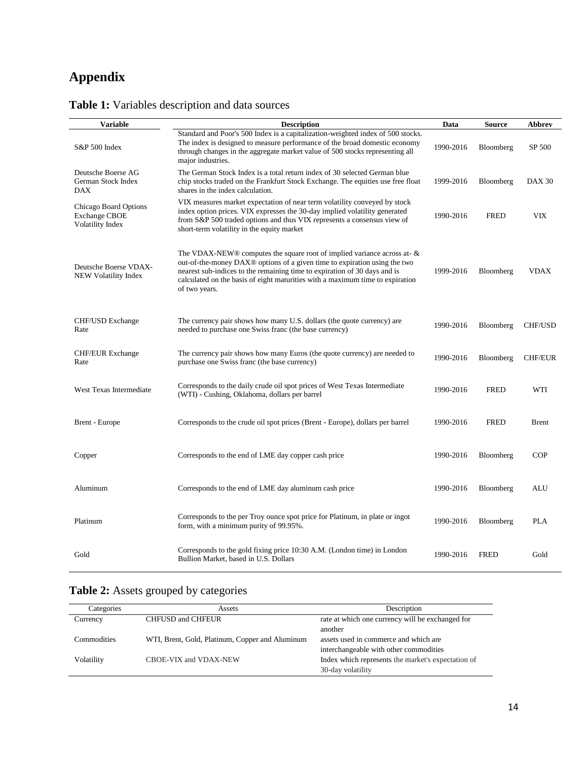# **Appendix**

| <b>Variable</b>                                                   | <b>Description</b>                                                                                                                                                                                                                                                                                                                                 | Data      | Source           | Abbrev         |
|-------------------------------------------------------------------|----------------------------------------------------------------------------------------------------------------------------------------------------------------------------------------------------------------------------------------------------------------------------------------------------------------------------------------------------|-----------|------------------|----------------|
| S&P 500 Index                                                     | Standard and Poor's 500 Index is a capitalization-weighted index of 500 stocks.<br>The index is designed to measure performance of the broad domestic economy<br>through changes in the aggregate market value of 500 stocks representing all<br>major industries.                                                                                 | 1990-2016 | Bloomberg        | SP 500         |
| Deutsche Boerse AG<br>German Stock Index<br><b>DAX</b>            | The German Stock Index is a total return index of 30 selected German blue<br>chip stocks traded on the Frankfurt Stock Exchange. The equities use free float<br>shares in the index calculation.                                                                                                                                                   | 1999-2016 | Bloomberg        | <b>DAX 30</b>  |
| Chicago Board Options<br><b>Exchange CBOE</b><br>Volatility Index | VIX measures market expectation of near term volatility conveyed by stock<br>index option prices. VIX expresses the 30-day implied volatility generated<br>from S&P 500 traded options and thus VIX represents a consensus view of<br>short-term volatility in the equity market                                                                   | 1990-2016 | <b>FRED</b>      | <b>VIX</b>     |
| Deutsche Boerse VDAX-<br>NEW Volatility Index                     | The VDAX-NEW <sup>®</sup> computes the square root of implied variance across at- $\&$<br>out-of-the-money DAX® options of a given time to expiration using the two<br>nearest sub-indices to the remaining time to expiration of 30 days and is<br>calculated on the basis of eight maturities with a maximum time to expiration<br>of two years. | 1999-2016 | <b>Bloomberg</b> | <b>VDAX</b>    |
| CHF/USD Exchange<br>Rate                                          | The currency pair shows how many U.S. dollars (the quote currency) are<br>needed to purchase one Swiss franc (the base currency)                                                                                                                                                                                                                   | 1990-2016 | <b>Bloomberg</b> | <b>CHF/USD</b> |
| <b>CHF/EUR Exchange</b><br>Rate                                   | The currency pair shows how many Euros (the quote currency) are needed to<br>purchase one Swiss franc (the base currency)                                                                                                                                                                                                                          | 1990-2016 | Bloomberg        | <b>CHF/EUR</b> |
| West Texas Intermediate                                           | Corresponds to the daily crude oil spot prices of West Texas Intermediate<br>(WTI) - Cushing, Oklahoma, dollars per barrel                                                                                                                                                                                                                         | 1990-2016 | <b>FRED</b>      | WTI            |
| Brent - Europe                                                    | Corresponds to the crude oil spot prices (Brent - Europe), dollars per barrel                                                                                                                                                                                                                                                                      | 1990-2016 | <b>FRED</b>      | <b>Brent</b>   |
| Copper                                                            | Corresponds to the end of LME day copper cash price                                                                                                                                                                                                                                                                                                | 1990-2016 | Bloomberg        | <b>COP</b>     |
| Aluminum                                                          | Corresponds to the end of LME day aluminum cash price                                                                                                                                                                                                                                                                                              | 1990-2016 | Bloomberg        | <b>ALU</b>     |
| Platinum                                                          | Corresponds to the per Troy ounce spot price for Platinum, in plate or ingot<br>form, with a minimum purity of 99.95%.                                                                                                                                                                                                                             | 1990-2016 | <b>Bloomberg</b> | <b>PLA</b>     |
| Gold                                                              | Corresponds to the gold fixing price 10:30 A.M. (London time) in London<br>Bullion Market, based in U.S. Dollars                                                                                                                                                                                                                                   | 1990-2016 | <b>FRED</b>      | Gold           |

# **Table 1:** Variables description and data sources

# **Table 2:** Assets grouped by categories

| Categories  | Assets                                          | Description                                        |
|-------------|-------------------------------------------------|----------------------------------------------------|
| Currency    | <b>CHFUSD and CHFEUR</b>                        | rate at which one currency will be exchanged for   |
|             |                                                 | another                                            |
| Commodities | WTI, Brent, Gold, Platinum, Copper and Aluminum | assets used in commerce and which are              |
|             |                                                 | interchangeable with other commodities             |
| Volatility  | CBOE-VIX and VDAX-NEW                           | Index which represents the market's expectation of |
|             |                                                 | 30-day volatility                                  |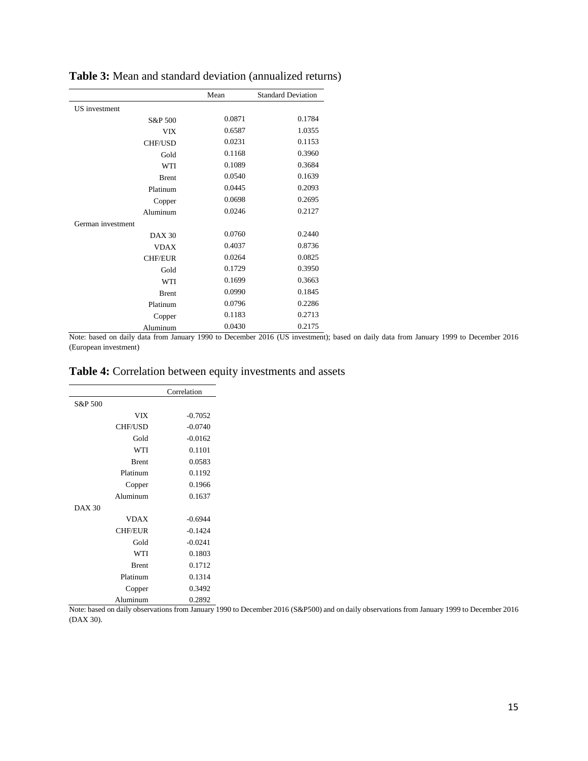|                      | Mean   | <b>Standard Deviation</b> |
|----------------------|--------|---------------------------|
| <b>US</b> investment |        |                           |
| S&P 500              | 0.0871 | 0.1784                    |
| <b>VIX</b>           | 0.6587 | 1.0355                    |
| <b>CHF/USD</b>       | 0.0231 | 0.1153                    |
| Gold                 | 0.1168 | 0.3960                    |
| <b>WTI</b>           | 0.1089 | 0.3684                    |
| <b>Brent</b>         | 0.0540 | 0.1639                    |
| Platinum             | 0.0445 | 0.2093                    |
| Copper               | 0.0698 | 0.2695                    |
| Aluminum             | 0.0246 | 0.2127                    |
| German investment    |        |                           |
| <b>DAX 30</b>        | 0.0760 | 0.2440                    |
| <b>VDAX</b>          | 0.4037 | 0.8736                    |
| <b>CHF/EUR</b>       | 0.0264 | 0.0825                    |
| Gold                 | 0.1729 | 0.3950                    |
| <b>WTI</b>           | 0.1699 | 0.3663                    |
| <b>Brent</b>         | 0.0990 | 0.1845                    |
| Platinum             | 0.0796 | 0.2286                    |
| Copper               | 0.1183 | 0.2713                    |
| Aluminum             | 0.0430 | 0.2175                    |

#### **Table 3:** Mean and standard deviation (annualized returns)

Note: based on daily data from January 1990 to December 2016 (US investment); based on daily data from January 1999 to December 2016 (European investment)

#### **Table 4:** Correlation between equity investments and assets

|         |                | Correlation |
|---------|----------------|-------------|
| S&P 500 |                |             |
|         | VIX            | $-0.7052$   |
|         | <b>CHF/USD</b> | $-0.0740$   |
|         | Gold           | $-0.0162$   |
|         | WTI            | 0.1101      |
|         | <b>Brent</b>   | 0.0583      |
|         | Platinum       | 0.1192      |
|         | Copper         | 0.1966      |
|         | Aluminum       | 0.1637      |
| DAX30   |                |             |
|         | <b>VDAX</b>    | $-0.6944$   |
|         | <b>CHF/EUR</b> | $-0.1424$   |
|         | Gold           | $-0.0241$   |
|         | <b>WTI</b>     | 0.1803      |
|         | <b>Brent</b>   | 0.1712      |
|         | Platinum       | 0.1314      |
|         | Copper         | 0.3492      |
|         | Aluminum       | 0.2892      |

Note: based on daily observations from January 1990 to December 2016 (S&P500) and on daily observations from January 1999 to December 2016 (DAX 30).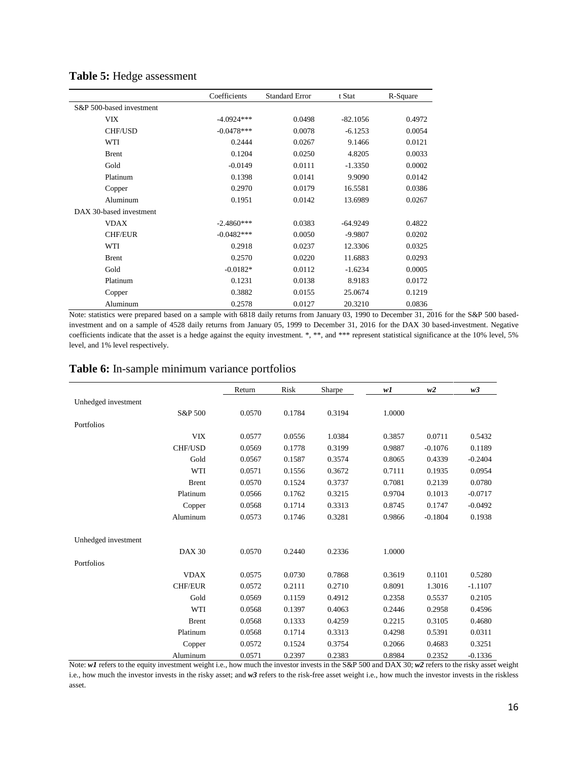|                          | Coefficients | <b>Standard Error</b> | t Stat     | R-Square |
|--------------------------|--------------|-----------------------|------------|----------|
| S&P 500-based investment |              |                       |            |          |
| VIX                      | $-4.0924***$ | 0.0498                | $-82.1056$ | 0.4972   |
| <b>CHF/USD</b>           | $-0.0478***$ | 0.0078                | $-6.1253$  | 0.0054   |
| WTI                      | 0.2444       | 0.0267                | 9.1466     | 0.0121   |
| <b>Brent</b>             | 0.1204       | 0.0250                | 4.8205     | 0.0033   |
| Gold                     | $-0.0149$    | 0.0111                | $-1.3350$  | 0.0002   |
| Platinum                 | 0.1398       | 0.0141                | 9.9090     | 0.0142   |
| Copper                   | 0.2970       | 0.0179                | 16.5581    | 0.0386   |
| Aluminum                 | 0.1951       | 0.0142                | 13.6989    | 0.0267   |
| DAX 30-based investment  |              |                       |            |          |
| <b>VDAX</b>              | $-2.4860***$ | 0.0383                | $-64.9249$ | 0.4822   |
| <b>CHF/EUR</b>           | $-0.0482***$ | 0.0050                | $-9.9807$  | 0.0202   |
| WTI                      | 0.2918       | 0.0237                | 12.3306    | 0.0325   |
| <b>Brent</b>             | 0.2570       | 0.0220                | 11.6883    | 0.0293   |
| Gold                     | $-0.0182*$   | 0.0112                | $-1.6234$  | 0.0005   |
| Platinum                 | 0.1231       | 0.0138                | 8.9183     | 0.0172   |
| Copper                   | 0.3882       | 0.0155                | 25.0674    | 0.1219   |
| Aluminum                 | 0.2578       | 0.0127                | 20.3210    | 0.0836   |

#### **Table 5:** Hedge assessment

Note: statistics were prepared based on a sample with 6818 daily returns from January 03, 1990 to December 31, 2016 for the S&P 500 basedinvestment and on a sample of 4528 daily returns from January 05, 1999 to December 31, 2016 for the DAX 30 based-investment. Negative coefficients indicate that the asset is a hedge against the equity investment. \*, \*\*, and \*\*\* represent statistical significance at the 10% level, 5% level, and 1% level respectively.

| Table 6: In-sample minimum variance portfolios |  |  |
|------------------------------------------------|--|--|
|                                                |  |  |

|                     |                | Return | Risk   | Sharpe | wI     | w2        | w3        |
|---------------------|----------------|--------|--------|--------|--------|-----------|-----------|
| Unhedged investment |                |        |        |        |        |           |           |
|                     | S&P 500        | 0.0570 | 0.1784 | 0.3194 | 1.0000 |           |           |
| Portfolios          |                |        |        |        |        |           |           |
|                     | <b>VIX</b>     | 0.0577 | 0.0556 | 1.0384 | 0.3857 | 0.0711    | 0.5432    |
|                     | CHF/USD        | 0.0569 | 0.1778 | 0.3199 | 0.9887 | $-0.1076$ | 0.1189    |
|                     | Gold           | 0.0567 | 0.1587 | 0.3574 | 0.8065 | 0.4339    | $-0.2404$ |
|                     | <b>WTI</b>     | 0.0571 | 0.1556 | 0.3672 | 0.7111 | 0.1935    | 0.0954    |
|                     | <b>Brent</b>   | 0.0570 | 0.1524 | 0.3737 | 0.7081 | 0.2139    | 0.0780    |
|                     | Platinum       | 0.0566 | 0.1762 | 0.3215 | 0.9704 | 0.1013    | $-0.0717$ |
|                     | Copper         | 0.0568 | 0.1714 | 0.3313 | 0.8745 | 0.1747    | $-0.0492$ |
|                     | Aluminum       | 0.0573 | 0.1746 | 0.3281 | 0.9866 | $-0.1804$ | 0.1938    |
| Unhedged investment |                |        |        |        |        |           |           |
|                     | <b>DAX 30</b>  | 0.0570 | 0.2440 | 0.2336 | 1.0000 |           |           |
| Portfolios          |                |        |        |        |        |           |           |
|                     | <b>VDAX</b>    | 0.0575 | 0.0730 | 0.7868 | 0.3619 | 0.1101    | 0.5280    |
|                     | <b>CHF/EUR</b> | 0.0572 | 0.2111 | 0.2710 | 0.8091 | 1.3016    | $-1.1107$ |
|                     | Gold           | 0.0569 | 0.1159 | 0.4912 | 0.2358 | 0.5537    | 0.2105    |
|                     | <b>WTI</b>     | 0.0568 | 0.1397 | 0.4063 | 0.2446 | 0.2958    | 0.4596    |
|                     | <b>Brent</b>   | 0.0568 | 0.1333 | 0.4259 | 0.2215 | 0.3105    | 0.4680    |
|                     | Platinum       | 0.0568 | 0.1714 | 0.3313 | 0.4298 | 0.5391    | 0.0311    |
|                     | Copper         | 0.0572 | 0.1524 | 0.3754 | 0.2066 | 0.4683    | 0.3251    |
|                     | Aluminum       | 0.0571 | 0.2397 | 0.2383 | 0.8984 | 0.2352    | $-0.1336$ |

Note: *w1* refers to the equity investment weight i.e., how much the investor invests in the S&P 500 and DAX 30; *w2* refers to the risky asset weight i.e., how much the investor invests in the risky asset; and  $w3$  refers to the risk-free asset weight i.e., how much the investor invests in the riskless asset.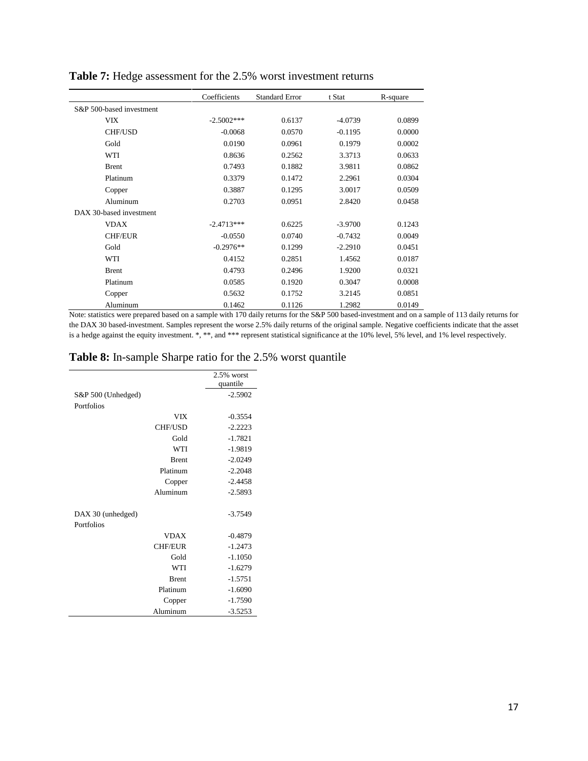|                          | Coefficients | <b>Standard Error</b> | t Stat    | R-square |
|--------------------------|--------------|-----------------------|-----------|----------|
| S&P 500-based investment |              |                       |           |          |
| <b>VIX</b>               | $-2.5002***$ | 0.6137                | $-4.0739$ | 0.0899   |
| CHF/USD                  | $-0.0068$    | 0.0570                | $-0.1195$ | 0.0000   |
| Gold                     | 0.0190       | 0.0961                | 0.1979    | 0.0002   |
| WTI                      | 0.8636       | 0.2562                | 3.3713    | 0.0633   |
| <b>Brent</b>             | 0.7493       | 0.1882                | 3.9811    | 0.0862   |
| Platinum                 | 0.3379       | 0.1472                | 2.2961    | 0.0304   |
| Copper                   | 0.3887       | 0.1295                | 3.0017    | 0.0509   |
| Aluminum                 | 0.2703       | 0.0951                | 2.8420    | 0.0458   |
| DAX 30-based investment  |              |                       |           |          |
| <b>VDAX</b>              | $-2.4713***$ | 0.6225                | $-3.9700$ | 0.1243   |
| <b>CHF/EUR</b>           | $-0.0550$    | 0.0740                | $-0.7432$ | 0.0049   |
| Gold                     | $-0.2976**$  | 0.1299                | $-2.2910$ | 0.0451   |
| WTI                      | 0.4152       | 0.2851                | 1.4562    | 0.0187   |
| <b>Brent</b>             | 0.4793       | 0.2496                | 1.9200    | 0.0321   |
| Platinum                 | 0.0585       | 0.1920                | 0.3047    | 0.0008   |
| Copper                   | 0.5632       | 0.1752                | 3.2145    | 0.0851   |
| Aluminum                 | 0.1462       | 0.1126                | 1.2982    | 0.0149   |

## **Table 7:** Hedge assessment for the 2.5% worst investment returns

Note: statistics were prepared based on a sample with 170 daily returns for the S&P 500 based-investment and on a sample of 113 daily returns for the DAX 30 based-investment. Samples represent the worse 2.5% daily returns of the original sample. Negative coefficients indicate that the asset is a hedge against the equity investment. \*, \*\*, and \*\*\* represent statistical significance at the 10% level, 5% level, and 1% level respectively.

| <b>Table 8:</b> In-sample Sharpe ratio for the 2.5% worst quantile |  |
|--------------------------------------------------------------------|--|
|--------------------------------------------------------------------|--|

|                                 |                | $2.5\%$ worst<br>quantile |
|---------------------------------|----------------|---------------------------|
|                                 |                |                           |
| S&P 500 (Unhedged)              |                | $-2.5902$                 |
| Portfolios                      |                |                           |
|                                 | <b>VIX</b>     | $-0.3554$                 |
|                                 | <b>CHF/USD</b> | $-2.2223$                 |
|                                 | Gold           | $-1.7821$                 |
|                                 | <b>WTI</b>     | $-1.9819$                 |
|                                 | <b>B</b> rent  | $-2.0249$                 |
|                                 | Platinum       | $-2.2048$                 |
|                                 | Copper         | $-2.4458$                 |
|                                 | Aluminum       | $-2.5893$                 |
| DAX 30 (unhedged)<br>Portfolios |                | $-3.7549$                 |
|                                 | <b>VDAX</b>    | $-0.4879$                 |
|                                 | <b>CHF/EUR</b> | $-1.2473$                 |
|                                 | Gold           | $-1.1050$                 |
|                                 | <b>WTI</b>     | $-1.6279$                 |
|                                 | <b>Brent</b>   | $-1.5751$                 |
|                                 | Platinum       | $-1.6090$                 |
|                                 | Copper         | $-1.7590$                 |
|                                 | Aluminum       | $-3.5253$                 |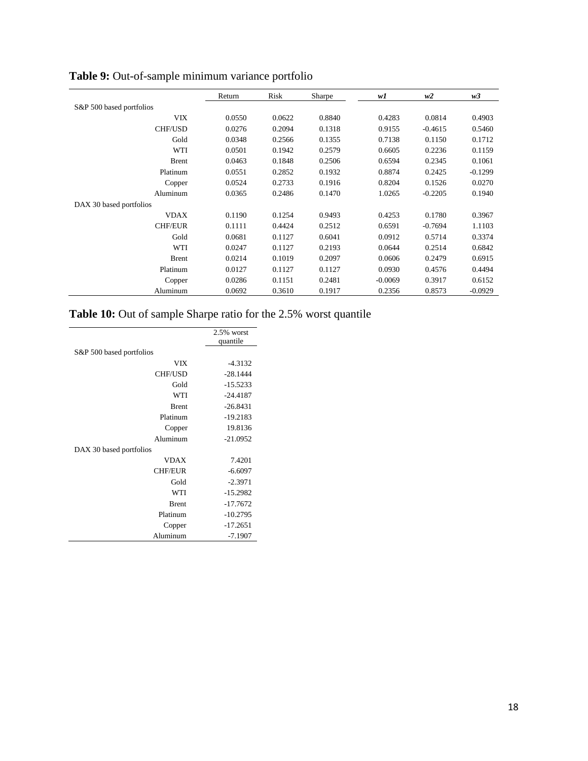|                          | Return | Risk   | Sharpe | wI        | w2        | w3        |
|--------------------------|--------|--------|--------|-----------|-----------|-----------|
| S&P 500 based portfolios |        |        |        |           |           |           |
| <b>VIX</b>               | 0.0550 | 0.0622 | 0.8840 | 0.4283    | 0.0814    | 0.4903    |
| <b>CHF/USD</b>           | 0.0276 | 0.2094 | 0.1318 | 0.9155    | $-0.4615$ | 0.5460    |
| Gold                     | 0.0348 | 0.2566 | 0.1355 | 0.7138    | 0.1150    | 0.1712    |
| <b>WTI</b>               | 0.0501 | 0.1942 | 0.2579 | 0.6605    | 0.2236    | 0.1159    |
| <b>B</b> rent            | 0.0463 | 0.1848 | 0.2506 | 0.6594    | 0.2345    | 0.1061    |
| Platinum                 | 0.0551 | 0.2852 | 0.1932 | 0.8874    | 0.2425    | $-0.1299$ |
| Copper                   | 0.0524 | 0.2733 | 0.1916 | 0.8204    | 0.1526    | 0.0270    |
| Aluminum                 | 0.0365 | 0.2486 | 0.1470 | 1.0265    | $-0.2205$ | 0.1940    |
| DAX 30 based portfolios  |        |        |        |           |           |           |
| <b>VDAX</b>              | 0.1190 | 0.1254 | 0.9493 | 0.4253    | 0.1780    | 0.3967    |
| <b>CHF/EUR</b>           | 0.1111 | 0.4424 | 0.2512 | 0.6591    | $-0.7694$ | 1.1103    |
| Gold                     | 0.0681 | 0.1127 | 0.6041 | 0.0912    | 0.5714    | 0.3374    |
| <b>WTI</b>               | 0.0247 | 0.1127 | 0.2193 | 0.0644    | 0.2514    | 0.6842    |
| <b>B</b> rent            | 0.0214 | 0.1019 | 0.2097 | 0.0606    | 0.2479    | 0.6915    |
| Platinum                 | 0.0127 | 0.1127 | 0.1127 | 0.0930    | 0.4576    | 0.4494    |
| Copper                   | 0.0286 | 0.1151 | 0.2481 | $-0.0069$ | 0.3917    | 0.6152    |
| Aluminum                 | 0.0692 | 0.3610 | 0.1917 | 0.2356    | 0.8573    | $-0.0929$ |

# **Table 9:** Out-of-sample minimum variance portfolio

# **Table 10:** Out of sample Sharpe ratio for the 2.5% worst quantile

|                          | $2.5\%$ worst |
|--------------------------|---------------|
|                          | quantile      |
| S&P 500 based portfolios |               |
| <b>VIX</b>               | $-4.3132$     |
| <b>CHF/USD</b>           | $-28.1444$    |
| Gold                     | $-15.5233$    |
| WTI                      | $-24.4187$    |
| <b>B</b> rent            | $-26.8431$    |
| Platinum                 | $-19.2183$    |
| Copper                   | 19.8136       |
| Aluminum                 | $-21.0952$    |
| DAX 30 based portfolios  |               |
| <b>VDAX</b>              | 7.4201        |
| <b>CHF/EUR</b>           | $-6.6097$     |
| Gold                     | $-2.3971$     |
| <b>WTI</b>               | $-15.2982$    |
| <b>Brent</b>             | $-17.7672$    |
| Platinum                 | $-10.2795$    |
| Copper                   | $-17.2651$    |
| Aluminum                 | $-7.1907$     |